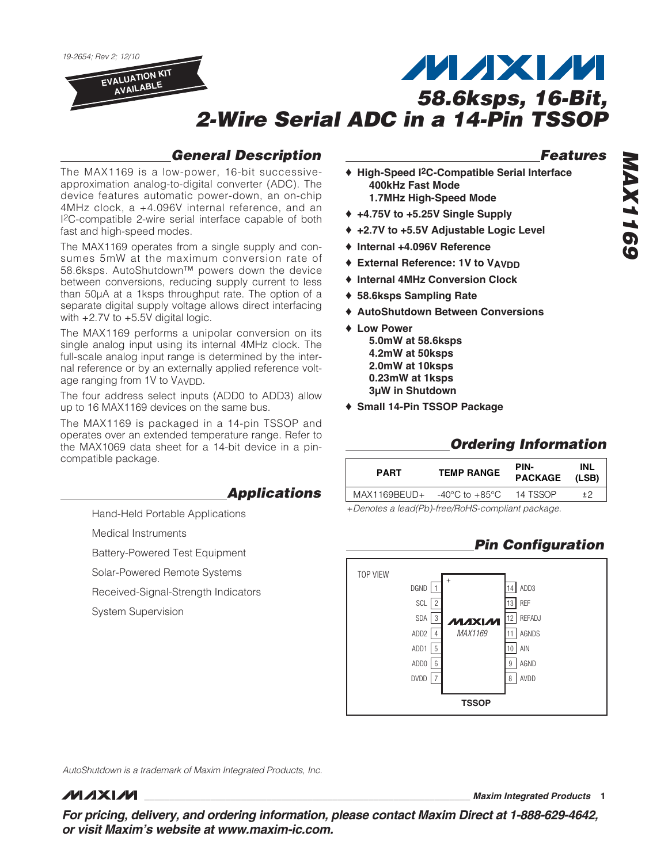19-2654; Rev 2; 12/10

**EVALUATION KIT AVAILABLE**

fast and high-speed modes.

with +2.7V to +5.5V digital logic.

age ranging from 1V to VAVDD.

compatible package.

# **MAXM 58.6ksps, 16-Bit, 2-Wire Serial ADC in a 14-Pin TSSOP**

## **General Description**

The MAX1169 is a low-power, 16-bit successiveapproximation analog-to-digital converter (ADC). The device features automatic power-down, an on-chip 4MHz clock, a +4.096V internal reference, and an I2C-compatible 2-wire serial interface capable of both

The MAX1169 operates from a single supply and consumes 5mW at the maximum conversion rate of 58.6ksps. AutoShutdown™ powers down the device between conversions, reducing supply current to less than 50µA at a 1ksps throughput rate. The option of a separate digital supply voltage allows direct interfacing

The MAX1169 performs a unipolar conversion on its single analog input using its internal 4MHz clock. The full-scale analog input range is determined by the internal reference or by an externally applied reference volt-

The four address select inputs (ADD0 to ADD3) allow

The MAX1169 is packaged in a 14-pin TSSOP and operates over an extended temperature range. Refer to the MAX1069 data sheet for a 14-bit device in a pin**Features**

- ♦ **High-Speed I2C-Compatible Serial Interface 400kHz Fast Mode 1.7MHz High-Speed Mode**
- ♦ **+4.75V to +5.25V Single Supply**
- ♦ **+2.7V to +5.5V Adjustable Logic Level**
- ♦ **Internal +4.096V Reference**
- ♦ **External Reference: 1V to VAVDD**
- ♦ **Internal 4MHz Conversion Clock**
- ♦ **58.6ksps Sampling Rate**
- ♦ **AutoShutdown Between Conversions**
- ♦ **Low Power 5.0mW at 58.6ksps 4.2mW at 50ksps 2.0mW at 10ksps 0.23mW at 1ksps 3µW in Shutdown**
- ♦ **Small 14-Pin TSSOP Package**

### **Ordering Information**

| <b>PART</b>                                      | <b>TEMP RANGE</b> | PIN-<br>PACKAGE (LSB) | INL  |  |  |
|--------------------------------------------------|-------------------|-----------------------|------|--|--|
| MAX1169BEUD+ $-40^{\circ}$ C to +85 $^{\circ}$ C |                   | 14 TSSOP              | $+2$ |  |  |
| Denotes a lead(Ph)-free/RoHS-compliant package   |                   |                       |      |  |  |

+Denotes a lead(Pb)-free/RoHS-compliant package.

### **Pin Configuration**



AutoShutdown is a trademark of Maxim Integrated Products, Inc.

### **MAXIM**

**\_\_\_\_\_\_\_\_\_\_\_\_\_\_\_\_\_\_\_\_\_\_\_\_\_\_\_\_\_\_\_\_\_\_\_\_\_\_\_\_\_\_\_\_\_\_\_\_\_\_\_\_\_\_\_\_\_\_\_\_\_\_\_\_ Maxim Integrated Products 1**

**MAX1169**

**MAX1169** 

**For pricing, delivery, and ordering information, please contact Maxim Direct at 1-888-629-4642, or visit Maxim's website at www.maxim-ic.com.**

**Applications**

Hand-Held Portable Applications

up to 16 MAX1169 devices on the same bus.

Medical Instruments

Battery-Powered Test Equipment

Solar-Powered Remote Systems

Received-Signal-Strength Indicators

System Supervision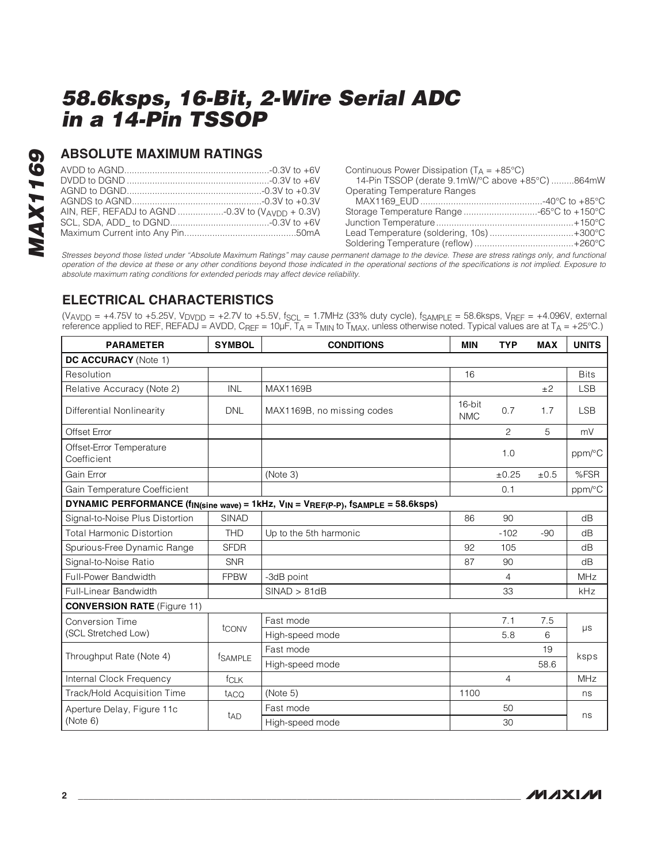### **ABSOLUTE MAXIMUM RATINGS**

**MAX1169**

**MAX1169** 

| AIN, REF, REFADJ to AGND -0.3V to (V <sub>AVDD</sub> + 0.3V) |
|--------------------------------------------------------------|
|                                                              |
|                                                              |

| Continuous Power Dissipation $(T_A = +85^{\circ}C)$ |  |
|-----------------------------------------------------|--|
| 14-Pin TSSOP (derate 9.1mW/°C above +85°C) 864mW    |  |
| Operating Temperature Ranges                        |  |
|                                                     |  |
|                                                     |  |
|                                                     |  |
| Lead Temperature (soldering, 10s)+300°C             |  |
|                                                     |  |

Stresses beyond those listed under "Absolute Maximum Ratings" may cause permanent damage to the device. These are stress ratings only, and functional operation of the device at these or any other conditions beyond those indicated in the operational sections of the specifications is not implied. Exposure to absolute maximum rating conditions for extended periods may affect device reliability.

### **ELECTRICAL CHARACTERISTICS**

(VAVDD = +4.75V to +5.25V, VDVDD = +2.7V to +5.5V, fSCL = 1.7MHz (33% duty cycle), fSAMPLE = 58.6ksps, VREF = +4.096V, external reference applied to REF, REFADJ = AVDD, C $_{\sf REF}$  = 10µF, T $_{\sf A}$  = T $_{\sf MIN}$  to T $_{\sf MAX}$ , unless otherwise noted. Typical values are at T $_{\sf A}$  = +25°C.)

| <b>PARAMETER</b>                        | <b>SYMBOL</b>    | <b>CONDITIONS</b>                                                                     | <b>MIN</b>              | <b>TYP</b>     | <b>MAX</b> | <b>UNITS</b> |
|-----------------------------------------|------------------|---------------------------------------------------------------------------------------|-------------------------|----------------|------------|--------------|
| DC ACCURACY (Note 1)                    |                  |                                                                                       |                         |                |            |              |
| Resolution                              |                  |                                                                                       | 16                      |                |            | <b>Bits</b>  |
| Relative Accuracy (Note 2)              | <b>INL</b>       | MAX1169B                                                                              |                         |                | ±2         | <b>LSB</b>   |
| Differential Nonlinearity               | <b>DNL</b>       | MAX1169B, no missing codes                                                            | $16-b$ it<br><b>NMC</b> | 0.7            | 1.7        | <b>LSB</b>   |
| Offset Error                            |                  |                                                                                       |                         | 2              | 5          | mV           |
| Offset-Error Temperature<br>Coefficient |                  |                                                                                       |                         | 1.0            |            | ppm/°C       |
| Gain Error                              |                  | (Note 3)                                                                              |                         | $\pm 0.25$     | ±0.5       | %FSR         |
| Gain Temperature Coefficient            |                  |                                                                                       |                         | 0.1            |            | ppm/°C       |
|                                         |                  | DYNAMIC PERFORMANCE (fin(sine wave) = 1kHz, $V_{IN}$ = VREF(P-P), fSAMPLE = 58.6ksps) |                         |                |            |              |
| Signal-to-Noise Plus Distortion         | <b>SINAD</b>     |                                                                                       | 86                      | 90             |            | dB           |
| <b>Total Harmonic Distortion</b>        | <b>THD</b>       | Up to the 5th harmonic                                                                |                         | $-102$         | $-90$      | dB           |
| Spurious-Free Dynamic Range             | <b>SFDR</b>      |                                                                                       | 92                      | 105            |            | dB           |
| Signal-to-Noise Ratio                   | <b>SNR</b>       |                                                                                       | 87                      | 90             |            | dB           |
| Full-Power Bandwidth                    | <b>FPBW</b>      | -3dB point                                                                            |                         | 4              |            | <b>MHz</b>   |
| Full-Linear Bandwidth                   |                  | SINAD > 81dB                                                                          |                         | 33             |            | kHz          |
| <b>CONVERSION RATE</b> (Figure 11)      |                  |                                                                                       |                         |                |            |              |
| <b>Conversion Time</b>                  |                  | Fast mode                                                                             |                         | 7.1            | 7.5        |              |
| (SCL Stretched Low)                     | tconv            | High-speed mode                                                                       |                         | 5.8            | 6          | $\mu s$      |
| Throughput Rate (Note 4)                |                  | Fast mode                                                                             |                         |                | 19         |              |
|                                         | <b>fSAMPLE</b>   | High-speed mode                                                                       |                         |                | 58.6       | ksps         |
| Internal Clock Frequency                | f <sub>CLK</sub> |                                                                                       |                         | $\overline{4}$ |            | <b>MHz</b>   |
| Track/Hold Acquisition Time             | t <sub>ACQ</sub> | (Note 5)                                                                              | 1100                    |                |            | ns           |
| Aperture Delay, Figure 11c              | tad              | Fast mode                                                                             |                         | 50             |            |              |
| (Note 6)                                |                  | High-speed mode                                                                       |                         | 30             |            | ns           |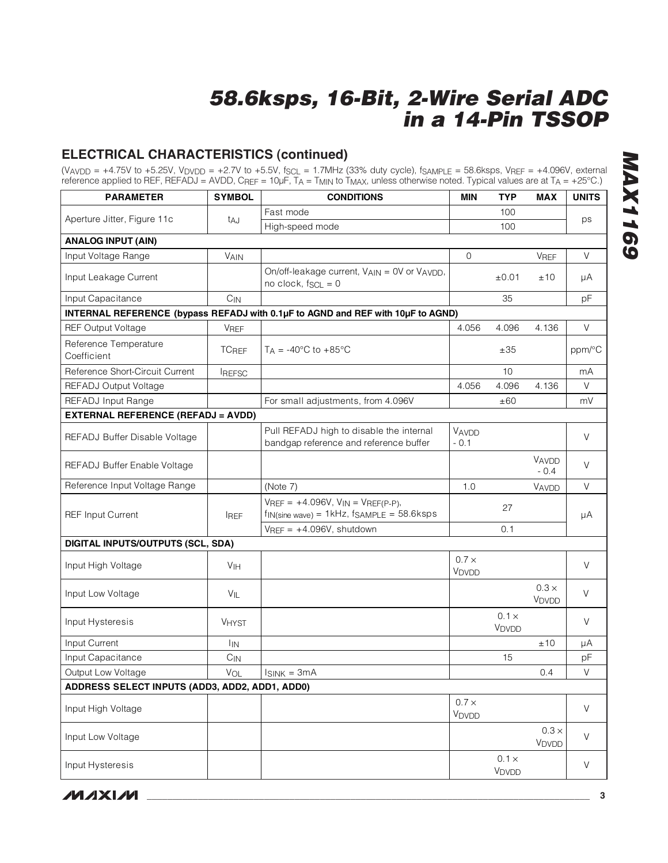### **ELECTRICAL CHARACTERISTICS (continued)**

(VAVDD = +4.75V to +5.25V, VDVDD = +2.7V to +5.5V, fSCL = 1.7MHz (33% duty cycle), fSAMPLE = 58.6ksps, VREF = +4.096V, external reference applied to REF, REFADJ = AVDD, C $_{\sf REF}$  = 10µF, T $_{\sf A}$  = T $_{\sf MIN}$  to T $_{\sf MAX}$ , unless otherwise noted. Typical values are at T $_{\sf A}$  = +25°C.)

| <b>PARAMETER</b>                               | <b>SYMBOL</b>   | <b>CONDITIONS</b>                                                                                        | <b>MIN</b>                        | <b>TYP</b>            | <b>MAX</b>            | <b>UNITS</b> |
|------------------------------------------------|-----------------|----------------------------------------------------------------------------------------------------------|-----------------------------------|-----------------------|-----------------------|--------------|
| Aperture Jitter, Figure 11c                    |                 | Fast mode                                                                                                |                                   | 100                   |                       |              |
|                                                | tau             | High-speed mode                                                                                          | 100                               |                       |                       | ps           |
| <b>ANALOG INPUT (AIN)</b>                      |                 |                                                                                                          |                                   |                       |                       |              |
| Input Voltage Range                            | <b>VAIN</b>     |                                                                                                          | 0                                 |                       | <b>VREF</b>           | V            |
| Input Leakage Current                          |                 | On/off-leakage current, VAIN = 0V or VAVDD,<br>no clock, $f_{SCL} = 0$                                   |                                   | $\pm 0.01$            | ±10                   | μA           |
| Input Capacitance                              | $C_{IN}$        |                                                                                                          |                                   | 35                    |                       | pF           |
|                                                |                 | INTERNAL REFERENCE (bypass REFADJ with 0.1µF to AGND and REF with 10µF to AGND)                          |                                   |                       |                       |              |
| <b>REF Output Voltage</b>                      | <b>VREF</b>     |                                                                                                          | 4.056                             | 4.096                 | 4.136                 | $\vee$       |
| Reference Temperature<br>Coefficient           | <b>TCREF</b>    | $T_A = -40^{\circ}$ C to $+85^{\circ}$ C                                                                 |                                   | ±35                   |                       | ppm/°C       |
| Reference Short-Circuit Current                | <b>IREFSC</b>   |                                                                                                          |                                   | 10                    |                       | mA           |
| REFADJ Output Voltage                          |                 |                                                                                                          | 4.056                             | 4.096                 | 4.136                 | V            |
| REFADJ Input Range                             |                 | For small adjustments, from 4.096V                                                                       |                                   | ±60                   |                       | mV           |
| <b>EXTERNAL REFERENCE (REFADJ = AVDD)</b>      |                 |                                                                                                          |                                   |                       |                       |              |
| REFADJ Buffer Disable Voltage                  |                 | Pull REFADJ high to disable the internal<br>bandgap reference and reference buffer                       | VAVDD<br>$-0.1$                   |                       |                       | V            |
| REFADJ Buffer Enable Voltage                   |                 |                                                                                                          |                                   |                       | VAVDD<br>$-0.4$       | V            |
| Reference Input Voltage Range                  |                 | (Note 7)                                                                                                 | 1.0                               |                       | VAVDD                 | $\vee$       |
| <b>REF Input Current</b>                       | <b>IREF</b>     | $V_{REF}$ = +4.096V, $V_{IN}$ = $V_{REF(P-P)}$ ,<br>$f_{IN(sine wave)} = 1kHz$ , $f_{SAMPLE} = 58.6ksps$ |                                   | 27                    |                       | μA           |
|                                                |                 | $V_{REF} = +4.096V$ , shutdown                                                                           |                                   | 0.1                   |                       |              |
| DIGITAL INPUTS/OUTPUTS (SCL, SDA)              |                 |                                                                                                          |                                   |                       |                       |              |
| Input High Voltage                             | V <sub>IH</sub> |                                                                                                          | $0.7 \times$<br>V <sub>DVDD</sub> |                       |                       | $\vee$       |
| Input Low Voltage                              | $V_{IL}$        |                                                                                                          |                                   |                       | $0.3 \times$<br>VDVDD | $\vee$       |
| Input Hysteresis                               | <b>VHYST</b>    |                                                                                                          |                                   | $0.1 \times$<br>VDVDD |                       | V            |
| Input Current                                  | $I_{IN}$        |                                                                                                          |                                   |                       | ±10                   | μA           |
| Input Capacitance                              | $C_{IN}$        |                                                                                                          |                                   | 15                    |                       | pF           |
| Output Low Voltage                             | $V_{OL}$        | $I_{SINK} = 3mA$                                                                                         |                                   |                       | 0.4                   | $\vee$       |
| ADDRESS SELECT INPUTS (ADD3, ADD2, ADD1, ADD0) |                 |                                                                                                          |                                   |                       |                       |              |
| Input High Voltage                             |                 |                                                                                                          | $0.7 \times$<br>VDVDD             |                       |                       | $\vee$       |
| Input Low Voltage                              |                 |                                                                                                          |                                   |                       | $0.3\times$<br>VDVDD  | $\vee$       |
| Input Hysteresis                               |                 |                                                                                                          |                                   | $0.1 \times$<br>VDVDD |                       | V            |

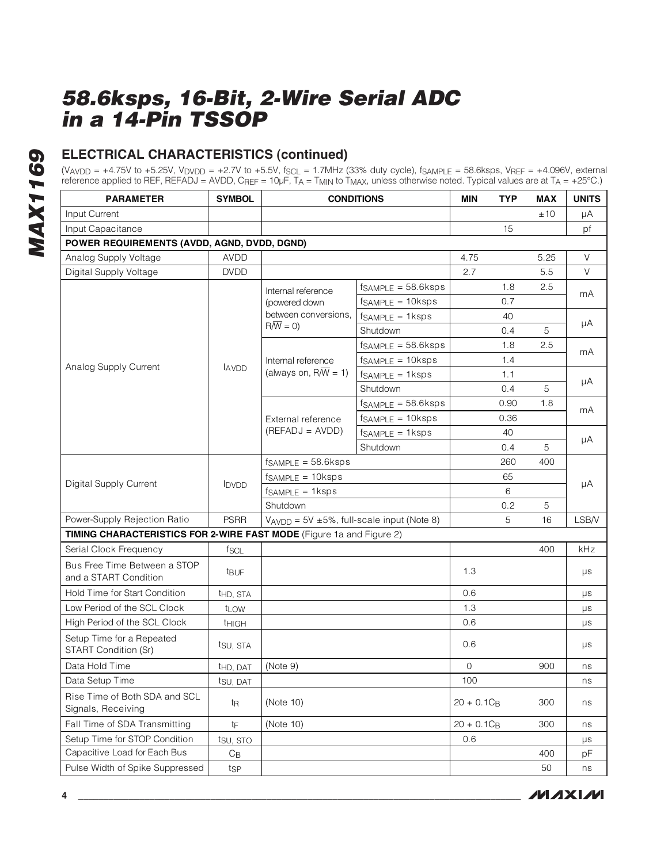### **ELECTRICAL CHARACTERISTICS (continued)**

(VAVDD = +4.75V to +5.25V, VDVDD = +2.7V to +5.5V, fSCL = 1.7MHz (33% duty cycle), fSAMPLE = 58.6ksps, VREF = +4.096V, external reference applied to REF, REFADJ = AVDD, C $_{\sf REF}$  = 10µF, T $_{\sf A}$  = T $_{\sf MIN}$  to T $_{\sf MAX}$ , unless otherwise noted. Typical values are at T $_{\sf A}$  = +25°C.)

| Input Current<br>±10<br>μA<br>Input Capacitance<br>15<br>рf<br>POWER REQUIREMENTS (AVDD, AGND, DVDD, DGND)<br><b>AVDD</b><br>V<br>Analog Supply Voltage<br>4.75<br>5.25<br>Digital Supply Voltage<br><b>DVDD</b><br>2.7<br>5.5<br>V<br>1.8<br>2.5<br>$f_{SAMPLE} = 58.6$ ksps<br>Internal reference<br>mA<br>0.7<br>$f_{SAMPLE} = 10ksps$<br>(powered down<br>between conversions,<br>$f_{SAMPLE} = 1$ ksps<br>40<br>μA<br>$R/\overline{W} = 0$<br>Shutdown<br>0.4<br>5<br>$f_{SAMPLE} = 58.6$ ksps<br>1.8<br>2.5<br>mA<br>1.4<br>$fsAMPLE = 10ksps$<br>Internal reference<br>Analog Supply Current<br><b>AVDD</b><br>(always on, $R/\overline{W} = 1$ )<br>$f_{SAMPLE} = 1ksps$<br>1.1<br>μA<br>0.4<br>5<br>Shutdown<br>$f_{SAMPLE} = 58.6$ ksps<br>0.90<br>1.8<br>mA<br>0.36<br>$f_{SAMPLE} = 10ksps$<br>External reference<br>$(REFADJ = AVDD)$<br>40<br>$fsAMPLE = 1ksps$<br>μA<br>5<br>0.4<br>Shutdown<br>$f_{SAMPLE} = 58.6$ ksps<br>260<br>400<br>$f_{SAMPLE} = 10ksps$<br>65<br>Digital Supply Current<br><b>IDVDD</b><br>μA<br>6<br>$f_{SAMPLE} = 1ksps$<br>0.2<br>5<br>Shutdown<br>Power-Supply Rejection Ratio<br><b>PSRR</b><br>5<br>$V_{AVDD} = 5V \pm 5\%$ , full-scale input (Note 8)<br>16<br>LSB/V<br>TIMING CHARACTERISTICS FOR 2-WIRE FAST MODE (Figure 1a and Figure 2)<br>Serial Clock Frequency<br>400<br>kHz<br>fscl<br>Bus Free Time Between a STOP<br>1.3<br><sup>t</sup> BUF<br>μs<br>and a START Condition<br>Hold Time for Start Condition<br>0.6<br>t <sub>HD</sub> , STA<br>μs<br>Low Period of the SCL Clock<br>1.3<br>t <sub>LOW</sub><br>μs<br>High Period of the SCL Clock<br>0.6<br><b>THIGH</b><br>μs<br>Setup Time for a Repeated<br>0.6<br>tsu, sta<br>μs<br><b>START Condition (Sr)</b><br>Data Hold Time<br>$\mathbf{O}$<br>900<br>(Note 9)<br>ns<br>thd, DAT<br>100<br>Data Setup Time<br>tsu, DAT<br>ns<br>Rise Time of Both SDA and SCL | <b>PARAMETER</b> | <b>SYMBOL</b>  |           | <b>CONDITIONS</b> | <b>MIN</b><br><b>TYP</b> | <b>MAX</b> | <b>UNITS</b> |
|------------------------------------------------------------------------------------------------------------------------------------------------------------------------------------------------------------------------------------------------------------------------------------------------------------------------------------------------------------------------------------------------------------------------------------------------------------------------------------------------------------------------------------------------------------------------------------------------------------------------------------------------------------------------------------------------------------------------------------------------------------------------------------------------------------------------------------------------------------------------------------------------------------------------------------------------------------------------------------------------------------------------------------------------------------------------------------------------------------------------------------------------------------------------------------------------------------------------------------------------------------------------------------------------------------------------------------------------------------------------------------------------------------------------------------------------------------------------------------------------------------------------------------------------------------------------------------------------------------------------------------------------------------------------------------------------------------------------------------------------------------------------------------------------------------------------------------------------------------------------------------|------------------|----------------|-----------|-------------------|--------------------------|------------|--------------|
|                                                                                                                                                                                                                                                                                                                                                                                                                                                                                                                                                                                                                                                                                                                                                                                                                                                                                                                                                                                                                                                                                                                                                                                                                                                                                                                                                                                                                                                                                                                                                                                                                                                                                                                                                                                                                                                                                    |                  |                |           |                   |                          |            |              |
|                                                                                                                                                                                                                                                                                                                                                                                                                                                                                                                                                                                                                                                                                                                                                                                                                                                                                                                                                                                                                                                                                                                                                                                                                                                                                                                                                                                                                                                                                                                                                                                                                                                                                                                                                                                                                                                                                    |                  |                |           |                   |                          |            |              |
|                                                                                                                                                                                                                                                                                                                                                                                                                                                                                                                                                                                                                                                                                                                                                                                                                                                                                                                                                                                                                                                                                                                                                                                                                                                                                                                                                                                                                                                                                                                                                                                                                                                                                                                                                                                                                                                                                    |                  |                |           |                   |                          |            |              |
|                                                                                                                                                                                                                                                                                                                                                                                                                                                                                                                                                                                                                                                                                                                                                                                                                                                                                                                                                                                                                                                                                                                                                                                                                                                                                                                                                                                                                                                                                                                                                                                                                                                                                                                                                                                                                                                                                    |                  |                |           |                   |                          |            |              |
|                                                                                                                                                                                                                                                                                                                                                                                                                                                                                                                                                                                                                                                                                                                                                                                                                                                                                                                                                                                                                                                                                                                                                                                                                                                                                                                                                                                                                                                                                                                                                                                                                                                                                                                                                                                                                                                                                    |                  |                |           |                   |                          |            |              |
|                                                                                                                                                                                                                                                                                                                                                                                                                                                                                                                                                                                                                                                                                                                                                                                                                                                                                                                                                                                                                                                                                                                                                                                                                                                                                                                                                                                                                                                                                                                                                                                                                                                                                                                                                                                                                                                                                    |                  |                |           |                   |                          |            |              |
|                                                                                                                                                                                                                                                                                                                                                                                                                                                                                                                                                                                                                                                                                                                                                                                                                                                                                                                                                                                                                                                                                                                                                                                                                                                                                                                                                                                                                                                                                                                                                                                                                                                                                                                                                                                                                                                                                    |                  |                |           |                   |                          |            |              |
|                                                                                                                                                                                                                                                                                                                                                                                                                                                                                                                                                                                                                                                                                                                                                                                                                                                                                                                                                                                                                                                                                                                                                                                                                                                                                                                                                                                                                                                                                                                                                                                                                                                                                                                                                                                                                                                                                    |                  |                |           |                   |                          |            |              |
|                                                                                                                                                                                                                                                                                                                                                                                                                                                                                                                                                                                                                                                                                                                                                                                                                                                                                                                                                                                                                                                                                                                                                                                                                                                                                                                                                                                                                                                                                                                                                                                                                                                                                                                                                                                                                                                                                    |                  |                |           |                   |                          |            |              |
|                                                                                                                                                                                                                                                                                                                                                                                                                                                                                                                                                                                                                                                                                                                                                                                                                                                                                                                                                                                                                                                                                                                                                                                                                                                                                                                                                                                                                                                                                                                                                                                                                                                                                                                                                                                                                                                                                    |                  |                |           |                   |                          |            |              |
|                                                                                                                                                                                                                                                                                                                                                                                                                                                                                                                                                                                                                                                                                                                                                                                                                                                                                                                                                                                                                                                                                                                                                                                                                                                                                                                                                                                                                                                                                                                                                                                                                                                                                                                                                                                                                                                                                    |                  |                |           |                   |                          |            |              |
|                                                                                                                                                                                                                                                                                                                                                                                                                                                                                                                                                                                                                                                                                                                                                                                                                                                                                                                                                                                                                                                                                                                                                                                                                                                                                                                                                                                                                                                                                                                                                                                                                                                                                                                                                                                                                                                                                    |                  |                |           |                   |                          |            |              |
|                                                                                                                                                                                                                                                                                                                                                                                                                                                                                                                                                                                                                                                                                                                                                                                                                                                                                                                                                                                                                                                                                                                                                                                                                                                                                                                                                                                                                                                                                                                                                                                                                                                                                                                                                                                                                                                                                    |                  |                |           |                   |                          |            |              |
|                                                                                                                                                                                                                                                                                                                                                                                                                                                                                                                                                                                                                                                                                                                                                                                                                                                                                                                                                                                                                                                                                                                                                                                                                                                                                                                                                                                                                                                                                                                                                                                                                                                                                                                                                                                                                                                                                    |                  |                |           |                   |                          |            |              |
|                                                                                                                                                                                                                                                                                                                                                                                                                                                                                                                                                                                                                                                                                                                                                                                                                                                                                                                                                                                                                                                                                                                                                                                                                                                                                                                                                                                                                                                                                                                                                                                                                                                                                                                                                                                                                                                                                    |                  |                |           |                   |                          |            |              |
|                                                                                                                                                                                                                                                                                                                                                                                                                                                                                                                                                                                                                                                                                                                                                                                                                                                                                                                                                                                                                                                                                                                                                                                                                                                                                                                                                                                                                                                                                                                                                                                                                                                                                                                                                                                                                                                                                    |                  |                |           |                   |                          |            |              |
|                                                                                                                                                                                                                                                                                                                                                                                                                                                                                                                                                                                                                                                                                                                                                                                                                                                                                                                                                                                                                                                                                                                                                                                                                                                                                                                                                                                                                                                                                                                                                                                                                                                                                                                                                                                                                                                                                    |                  |                |           |                   |                          |            |              |
|                                                                                                                                                                                                                                                                                                                                                                                                                                                                                                                                                                                                                                                                                                                                                                                                                                                                                                                                                                                                                                                                                                                                                                                                                                                                                                                                                                                                                                                                                                                                                                                                                                                                                                                                                                                                                                                                                    |                  |                |           |                   |                          |            |              |
|                                                                                                                                                                                                                                                                                                                                                                                                                                                                                                                                                                                                                                                                                                                                                                                                                                                                                                                                                                                                                                                                                                                                                                                                                                                                                                                                                                                                                                                                                                                                                                                                                                                                                                                                                                                                                                                                                    |                  |                |           |                   |                          |            |              |
|                                                                                                                                                                                                                                                                                                                                                                                                                                                                                                                                                                                                                                                                                                                                                                                                                                                                                                                                                                                                                                                                                                                                                                                                                                                                                                                                                                                                                                                                                                                                                                                                                                                                                                                                                                                                                                                                                    |                  |                |           |                   |                          |            |              |
|                                                                                                                                                                                                                                                                                                                                                                                                                                                                                                                                                                                                                                                                                                                                                                                                                                                                                                                                                                                                                                                                                                                                                                                                                                                                                                                                                                                                                                                                                                                                                                                                                                                                                                                                                                                                                                                                                    |                  |                |           |                   |                          |            |              |
|                                                                                                                                                                                                                                                                                                                                                                                                                                                                                                                                                                                                                                                                                                                                                                                                                                                                                                                                                                                                                                                                                                                                                                                                                                                                                                                                                                                                                                                                                                                                                                                                                                                                                                                                                                                                                                                                                    |                  |                |           |                   |                          |            |              |
|                                                                                                                                                                                                                                                                                                                                                                                                                                                                                                                                                                                                                                                                                                                                                                                                                                                                                                                                                                                                                                                                                                                                                                                                                                                                                                                                                                                                                                                                                                                                                                                                                                                                                                                                                                                                                                                                                    |                  |                |           |                   |                          |            |              |
|                                                                                                                                                                                                                                                                                                                                                                                                                                                                                                                                                                                                                                                                                                                                                                                                                                                                                                                                                                                                                                                                                                                                                                                                                                                                                                                                                                                                                                                                                                                                                                                                                                                                                                                                                                                                                                                                                    |                  |                |           |                   |                          |            |              |
|                                                                                                                                                                                                                                                                                                                                                                                                                                                                                                                                                                                                                                                                                                                                                                                                                                                                                                                                                                                                                                                                                                                                                                                                                                                                                                                                                                                                                                                                                                                                                                                                                                                                                                                                                                                                                                                                                    |                  |                |           |                   |                          |            |              |
|                                                                                                                                                                                                                                                                                                                                                                                                                                                                                                                                                                                                                                                                                                                                                                                                                                                                                                                                                                                                                                                                                                                                                                                                                                                                                                                                                                                                                                                                                                                                                                                                                                                                                                                                                                                                                                                                                    |                  |                |           |                   |                          |            |              |
|                                                                                                                                                                                                                                                                                                                                                                                                                                                                                                                                                                                                                                                                                                                                                                                                                                                                                                                                                                                                                                                                                                                                                                                                                                                                                                                                                                                                                                                                                                                                                                                                                                                                                                                                                                                                                                                                                    |                  |                |           |                   |                          |            |              |
|                                                                                                                                                                                                                                                                                                                                                                                                                                                                                                                                                                                                                                                                                                                                                                                                                                                                                                                                                                                                                                                                                                                                                                                                                                                                                                                                                                                                                                                                                                                                                                                                                                                                                                                                                                                                                                                                                    |                  |                |           |                   |                          |            |              |
|                                                                                                                                                                                                                                                                                                                                                                                                                                                                                                                                                                                                                                                                                                                                                                                                                                                                                                                                                                                                                                                                                                                                                                                                                                                                                                                                                                                                                                                                                                                                                                                                                                                                                                                                                                                                                                                                                    |                  |                |           |                   |                          |            |              |
|                                                                                                                                                                                                                                                                                                                                                                                                                                                                                                                                                                                                                                                                                                                                                                                                                                                                                                                                                                                                                                                                                                                                                                                                                                                                                                                                                                                                                                                                                                                                                                                                                                                                                                                                                                                                                                                                                    |                  |                |           |                   |                          |            |              |
|                                                                                                                                                                                                                                                                                                                                                                                                                                                                                                                                                                                                                                                                                                                                                                                                                                                                                                                                                                                                                                                                                                                                                                                                                                                                                                                                                                                                                                                                                                                                                                                                                                                                                                                                                                                                                                                                                    |                  |                |           |                   |                          |            |              |
| Signals, Receiving                                                                                                                                                                                                                                                                                                                                                                                                                                                                                                                                                                                                                                                                                                                                                                                                                                                                                                                                                                                                                                                                                                                                                                                                                                                                                                                                                                                                                                                                                                                                                                                                                                                                                                                                                                                                                                                                 |                  | t <sub>R</sub> | (Note 10) |                   | $20 + 0.1C_B$            | 300        | ns           |
| Fall Time of SDA Transmitting<br>(Note 10)<br>$20 + 0.1C_B$<br>300<br>tF<br>ns                                                                                                                                                                                                                                                                                                                                                                                                                                                                                                                                                                                                                                                                                                                                                                                                                                                                                                                                                                                                                                                                                                                                                                                                                                                                                                                                                                                                                                                                                                                                                                                                                                                                                                                                                                                                     |                  |                |           |                   |                          |            |              |
| Setup Time for STOP Condition<br>0.6<br>tsu, sto<br>μs                                                                                                                                                                                                                                                                                                                                                                                                                                                                                                                                                                                                                                                                                                                                                                                                                                                                                                                                                                                                                                                                                                                                                                                                                                                                                                                                                                                                                                                                                                                                                                                                                                                                                                                                                                                                                             |                  |                |           |                   |                          |            |              |
| Capacitive Load for Each Bus<br>$C_{\mathsf{B}}$<br>400<br>рF                                                                                                                                                                                                                                                                                                                                                                                                                                                                                                                                                                                                                                                                                                                                                                                                                                                                                                                                                                                                                                                                                                                                                                                                                                                                                                                                                                                                                                                                                                                                                                                                                                                                                                                                                                                                                      |                  |                |           |                   |                          |            |              |
| Pulse Width of Spike Suppressed<br>50<br>tsp<br>ns                                                                                                                                                                                                                                                                                                                                                                                                                                                                                                                                                                                                                                                                                                                                                                                                                                                                                                                                                                                                                                                                                                                                                                                                                                                                                                                                                                                                                                                                                                                                                                                                                                                                                                                                                                                                                                 |                  |                |           |                   |                          |            |              |

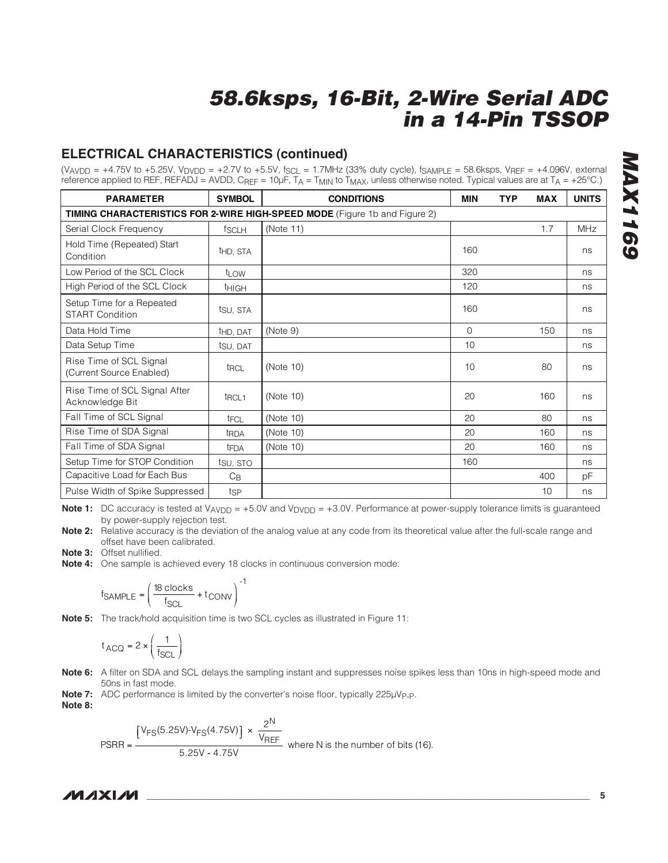### **ELECTRICAL CHARACTERISTICS (continued)**

(VAVDD = +4.75V to +5.25V, VDVDD = +2.7V to +5.5V, fSCL = 1.7MHz (33% duty cycle), fSAMPLE = 58.6ksps, VREF = +4.096V, external reference applied to REF, REFADJ = AVDD, C $_{\sf REF}$  = 10µF, T $_{\sf A}$  = T $_{\sf MIN}$  to T $_{\sf MAX}$ , unless otherwise noted. Typical values are at T $_{\sf A}$  = +25°C.)

| <b>PARAMETER</b>                                                           | <b>SYMBOL</b>        | <b>CONDITIONS</b> | <b>MIN</b> | <b>TYP</b> | <b>MAX</b> | <b>UNITS</b> |  |
|----------------------------------------------------------------------------|----------------------|-------------------|------------|------------|------------|--------------|--|
| TIMING CHARACTERISTICS FOR 2-WIRE HIGH-SPEED MODE (Figure 1b and Figure 2) |                      |                   |            |            |            |              |  |
| Serial Clock Frequency                                                     | <sup>f</sup> SCLH    | (Note 11)         |            |            | 1.7        | <b>MHz</b>   |  |
| Hold Time (Repeated) Start<br>Condition                                    | <sup>t</sup> HD, STA |                   | 160        |            |            | ns           |  |
| Low Period of the SCL Clock                                                | t <sub>LOW</sub>     |                   | 320        |            |            | ns           |  |
| High Period of the SCL Clock                                               | <b>THIGH</b>         |                   | 120        |            |            | ns           |  |
| Setup Time for a Repeated<br><b>START Condition</b>                        | tsu, sta             |                   | 160        |            |            | ns           |  |
| Data Hold Time                                                             | thd, DAT             | (Note 9)          | 0          |            | 150        | ns           |  |
| Data Setup Time                                                            | tsu, DAT             |                   | 10         |            |            | ns           |  |
| Rise Time of SCL Signal<br>(Current Source Enabled)                        | t <sub>RCL</sub>     | (Note 10)         | 10         |            | 80         | ns           |  |
| Rise Time of SCL Signal After<br>Acknowledge Bit                           | t <sub>RCL1</sub>    | (Note 10)         | 20         |            | 160        | ns           |  |
| Fall Time of SCL Signal                                                    | t <sub>FCL</sub>     | (Note 10)         | 20         |            | 80         | ns           |  |
| Rise Time of SDA Signal                                                    | t <sub>RDA</sub>     | (Note 10)         | 20         |            | 160        | ns           |  |
| Fall Time of SDA Signal                                                    | t <sub>FDA</sub>     | (Note 10)         | 20         |            | 160        | ns           |  |
| Setup Time for STOP Condition                                              | tsu, sto             |                   | 160        |            |            | ns           |  |
| Capacitive Load for Each Bus                                               | $C_{\mathsf{B}}$     |                   |            |            | 400        | рF           |  |
| Pulse Width of Spike Suppressed                                            | tsp                  |                   |            |            | 10         | ns           |  |

**Note 1:** DC accuracy is tested at V<sub>AVDD</sub> = +5.0V and V<sub>DVDD</sub> = +3.0V. Performance at power-supply tolerance limits is guaranteed by power-supply rejection test.

**Note 2:** Relative accuracy is the deviation of the analog value at any code from its theoretical value after the full-scale range and offset have been calibrated.

**Note 3:** Offset nullified.

**Note 4:** One sample is achieved every 18 clocks in continuous conversion mode:

$$
f_{\text{SAMPLE}} = \left(\frac{18 \text{ clocks}}{f_{\text{SCL}}} + t_{\text{CONV}}\right)^{-1}
$$

**Note 5:** The track/hold acquisition time is two SCL cycles as illustrated in Figure 11:

$$
t_{ACQ} = 2 \times \left(\frac{1}{f_{SCL}}\right)
$$

**Note 6:** A filter on SDA and SCL delays the sampling instant and suppresses noise spikes less than 10ns in high-speed mode and 50ns in fast mode.

**Note 7:** ADC performance is limited by the converter's noise floor, typically 225μVP-P.

**Note 8:**

$$
PSRR = \frac{\left[\frac{V_{FS}(5.25V) - V_{FS}(4.75V)}{V_{REF}}\right] \times \frac{2^N}{V_{REF}}}{5.25V - 4.75V}
$$
 where N is the number of bits (16).

**MAXIM**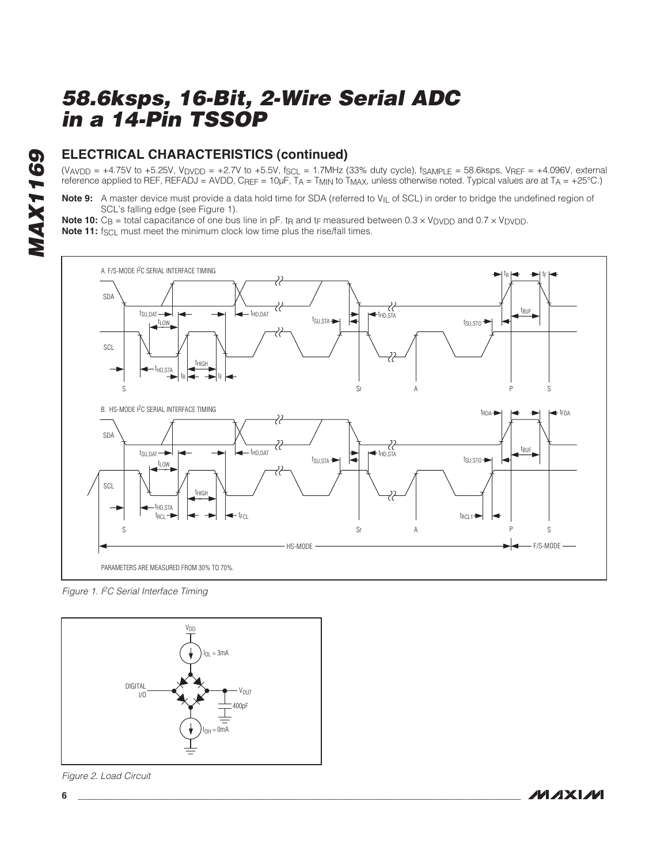### **ELECTRICAL CHARACTERISTICS (continued)**

(VAVDD = +4.75V to +5.25V, VDVDD = +2.7V to +5.5V, fSCL = 1.7MHz (33% duty cycle), fSAMPLE = 58.6ksps, VREF = +4.096V, external reference applied to REF, REFADJ = AVDD, C $_{\sf REF}$  = 10µF, T $_{\sf A}$  = T $_{\sf MIN}$  to T $_{\sf MAX}$ , unless otherwise noted. Typical values are at T $_{\sf A}$  = +25°C.)

Note 9: A master device must provide a data hold time for SDA (referred to V<sub>IL</sub> of SCL) in order to bridge the undefined region of SCL's falling edge (see Figure 1).

**Note 10:**  $C_B$  = total capacitance of one bus line in pF. t<sub>R</sub> and t<sub>F</sub> measured between  $0.3 \times V_{\text{DVDD}}$  and  $0.7 \times V_{\text{DVDD}}$ .

**Note 11:** f<sub>SCL</sub> must meet the minimum clock low time plus the rise/fall times.



**MAXM** 





Figure 2. Load Circuit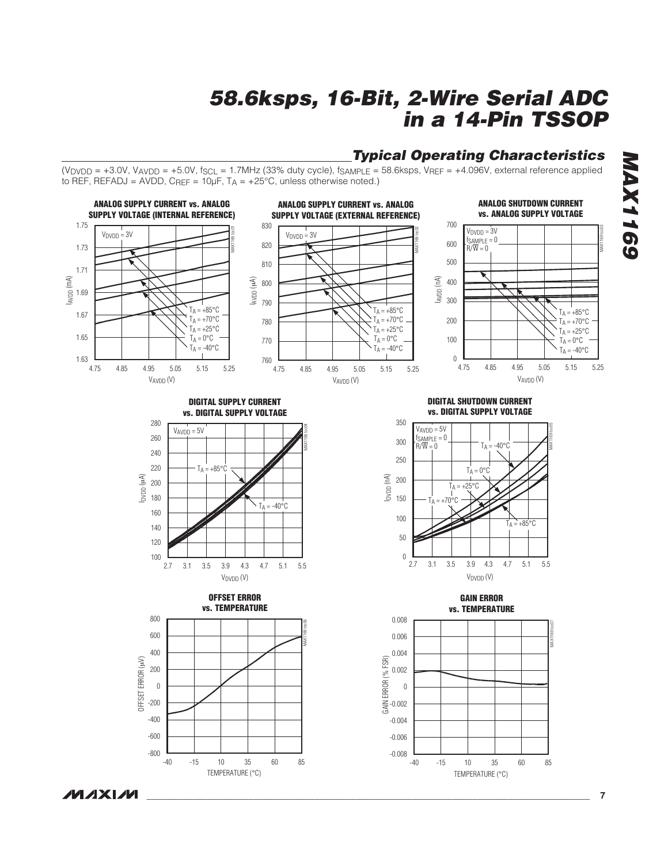### **Typical Operating Characteristics**

 $(V_{DVDD} = +3.0V, V_{AVDD} = +5.0V, f_{SCL} = 1.7MHz$  (33% duty cycle),  $f_{SAMPLE} = 58.6ksps$ ,  $V_{REF} = +4.096V$ , external reference applied to REF, REFADJ = AVDD,  $C_{REF}$  = 10µF,  $T_A$  = +25°C, unless otherwise noted.)



**MAX1169 MAX1169**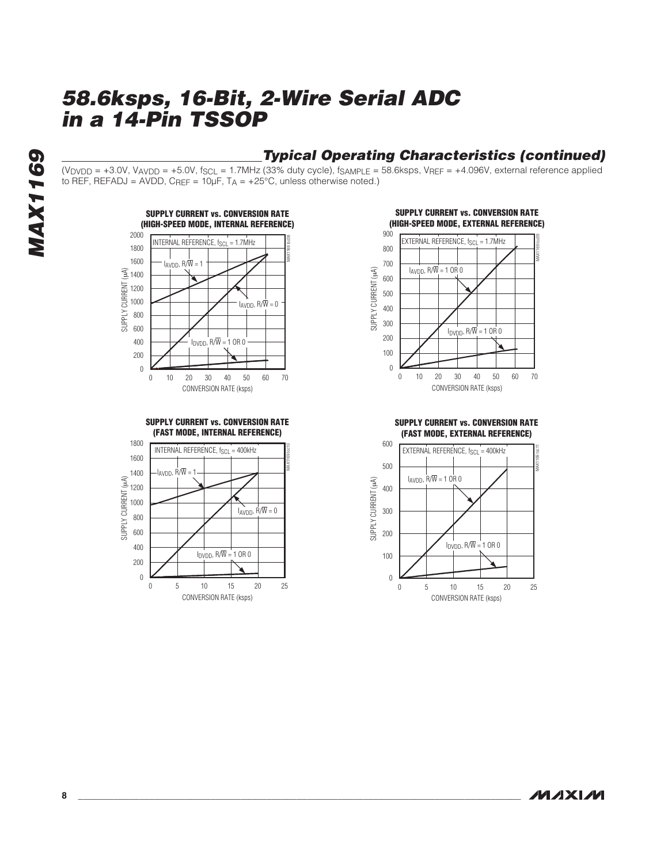## **Typical Operating Characteristics (continued)**

 $(V_{DVDD} = +3.0V, V_{AVDD} = +5.0V, f_{SCL} = 1.7MHz$  (33% duty cycle),  $f_{SAMPLE} = 58.6ksp$ s,  $V_{REF} = +4.096V$ , external reference applied to REF, REFADJ = AVDD,  $C_{REF}$  = 10µF,  $T_A$  = +25°C, unless otherwise noted.)









**SUPPLY CURRENT vs. CONVERSION RATE**





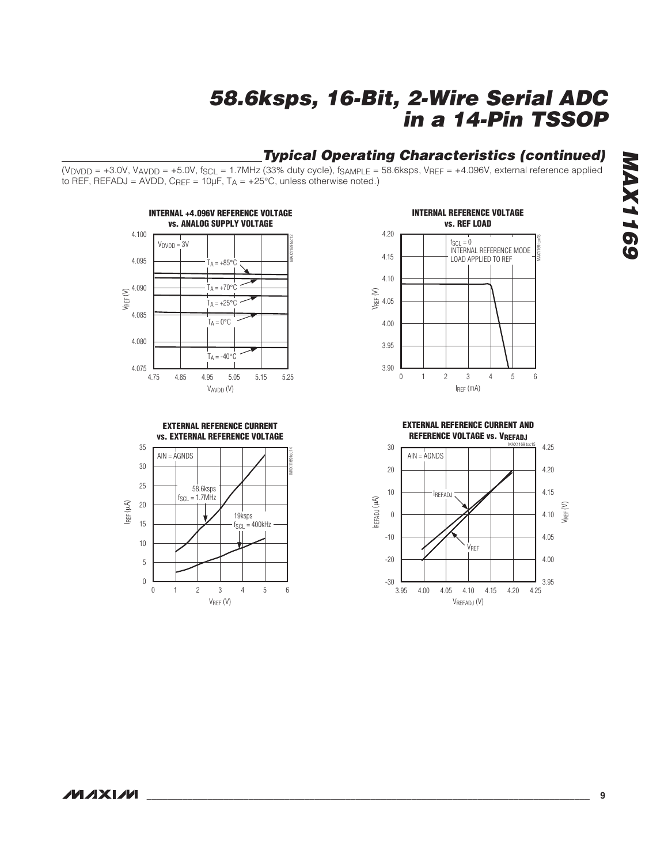## **Typical Operating Characteristics (continued)**

 $(V_{\text{DVDD}} = +3.0V, V_{\text{AVDD}} = +5.0V, f_{\text{SCL}} = 1.7$ MHz (33% duty cycle),  $f_{\text{SAMPLE}} = 58.6$ ksps,  $V_{\text{REF}} = +4.096V$ , external reference applied to REF, REFADJ = AVDD,  $C_{RFF} = 10 \mu$ F,  $T_A = +25^{\circ}$ C, unless otherwise noted.)







#### 35 **vs. EXTERNAL REFERENCE VOLTAGE**  $AIN = AGNDS$

**EXTERNAL REFERENCE CURRENT**

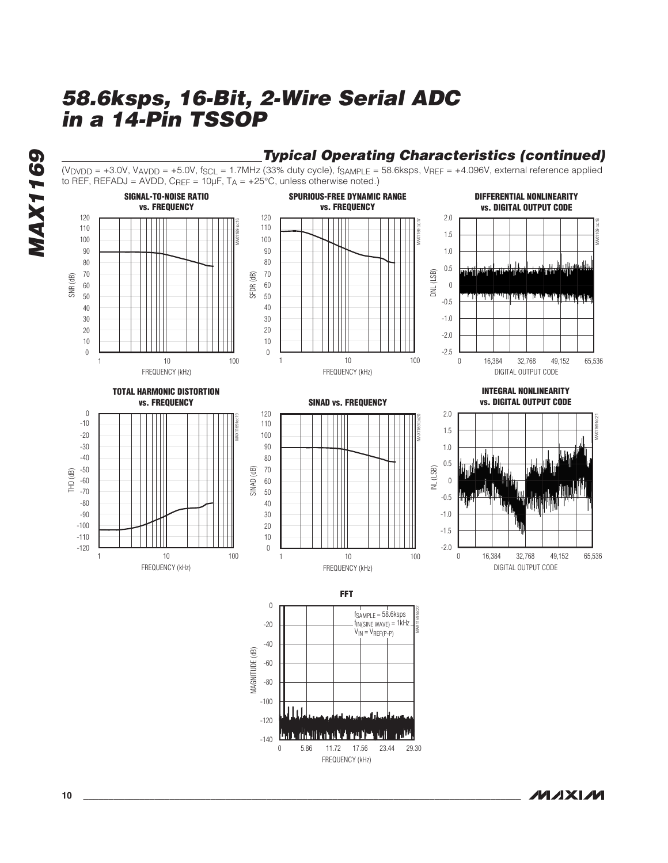# **Typical Operating Characteristics (continued)**

 $(V_{\text{DVDD}} = +3.0V, V_{\text{AVDD}} = +5.0V, f_{\text{SCL}} = 1.7\text{MHz}$  (33% duty cycle),  $f_{\text{SAMPLE}} = 58.6\text{ksps}$ ,  $V_{\text{REF}} = +4.096V$ , external reference applied to REF, REFADJ = AVDD,  $C_{REF}$  = 10µF,  $T_A$  = +25°C, unless otherwise noted.)



**MAX1169**

**MAX1169**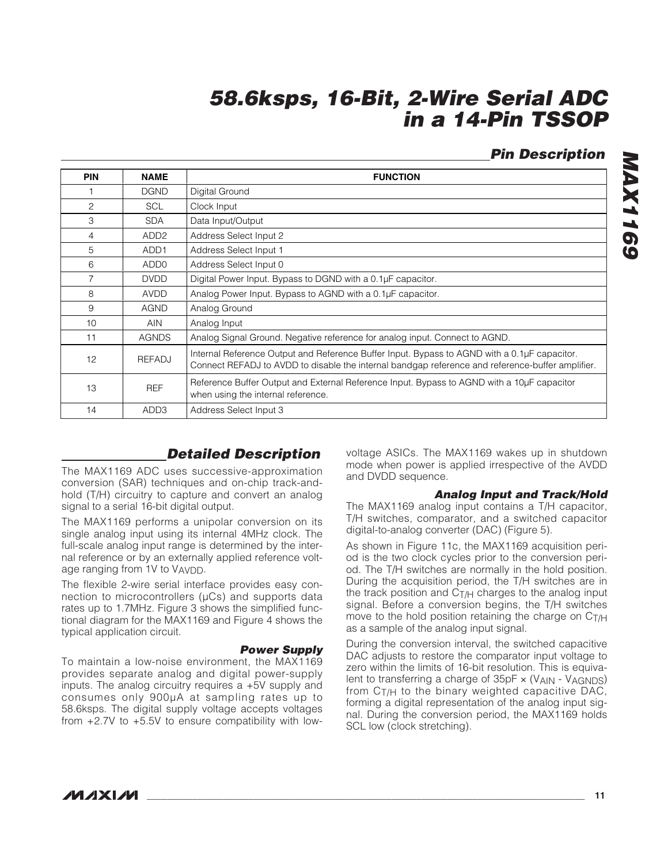### **Pin Description**

| <b>PIN</b> | <b>NAME</b>      | <b>FUNCTION</b>                                                                                                                                                                                  |
|------------|------------------|--------------------------------------------------------------------------------------------------------------------------------------------------------------------------------------------------|
|            | <b>DGND</b>      | Digital Ground                                                                                                                                                                                   |
| 2          | <b>SCL</b>       | Clock Input                                                                                                                                                                                      |
| 3          | <b>SDA</b>       | Data Input/Output                                                                                                                                                                                |
| 4          | ADD <sub>2</sub> | Address Select Input 2                                                                                                                                                                           |
| 5          | ADD <sub>1</sub> | Address Select Input 1                                                                                                                                                                           |
| 6          | ADD <sub>0</sub> | Address Select Input 0                                                                                                                                                                           |
| 7          | <b>DVDD</b>      | Digital Power Input. Bypass to DGND with a 0.1µF capacitor.                                                                                                                                      |
| 8          | <b>AVDD</b>      | Analog Power Input. Bypass to AGND with a 0.1µF capacitor.                                                                                                                                       |
| 9          | <b>AGND</b>      | Analog Ground                                                                                                                                                                                    |
| 10         | <b>AIN</b>       | Analog Input                                                                                                                                                                                     |
| 11         | <b>AGNDS</b>     | Analog Signal Ground. Negative reference for analog input. Connect to AGND.                                                                                                                      |
| 12         | <b>REFADJ</b>    | Internal Reference Output and Reference Buffer Input. Bypass to AGND with a 0.1µF capacitor.<br>Connect REFADJ to AVDD to disable the internal bandgap reference and reference-buffer amplifier. |
| 13         | <b>REF</b>       | Reference Buffer Output and External Reference Input. Bypass to AGND with a 10µF capacitor<br>when using the internal reference.                                                                 |
| 14         | ADD3             | Address Select Input 3                                                                                                                                                                           |

### **Detailed Description**

The MAX1169 ADC uses successive-approximation conversion (SAR) techniques and on-chip track-andhold (T/H) circuitry to capture and convert an analog signal to a serial 16-bit digital output.

The MAX1169 performs a unipolar conversion on its single analog input using its internal 4MHz clock. The full-scale analog input range is determined by the internal reference or by an externally applied reference voltage ranging from 1V to VAVDD.

The flexible 2-wire serial interface provides easy connection to microcontrollers (μCs) and supports data rates up to 1.7MHz. Figure 3 shows the simplified functional diagram for the MAX1169 and Figure 4 shows the typical application circuit.

### **Power Supply**

To maintain a low-noise environment, the MAX1169 provides separate analog and digital power-supply inputs. The analog circuitry requires a +5V supply and consumes only 900μA at sampling rates up to 58.6ksps. The digital supply voltage accepts voltages from +2.7V to +5.5V to ensure compatibility with low-

voltage ASICs. The MAX1169 wakes up in shutdown mode when power is applied irrespective of the AVDD and DVDD sequence.

### **Analog Input and Track/Hold**

The MAX1169 analog input contains a T/H capacitor, T/H switches, comparator, and a switched capacitor digital-to-analog converter (DAC) (Figure 5).

As shown in Figure 11c, the MAX1169 acquisition period is the two clock cycles prior to the conversion period. The T/H switches are normally in the hold position. During the acquisition period, the T/H switches are in the track position and C<sub>T/H</sub> charges to the analog input signal. Before a conversion begins, the T/H switches move to the hold position retaining the charge on CT/H as a sample of the analog input signal.

During the conversion interval, the switched capacitive DAC adjusts to restore the comparator input voltage to zero within the limits of 16-bit resolution. This is equivalent to transferring a charge of 35pF x (VAIN - VAGNDS) from CT/H to the binary weighted capacitive DAC, forming a digital representation of the analog input signal. During the conversion period, the MAX1169 holds SCL low (clock stretching).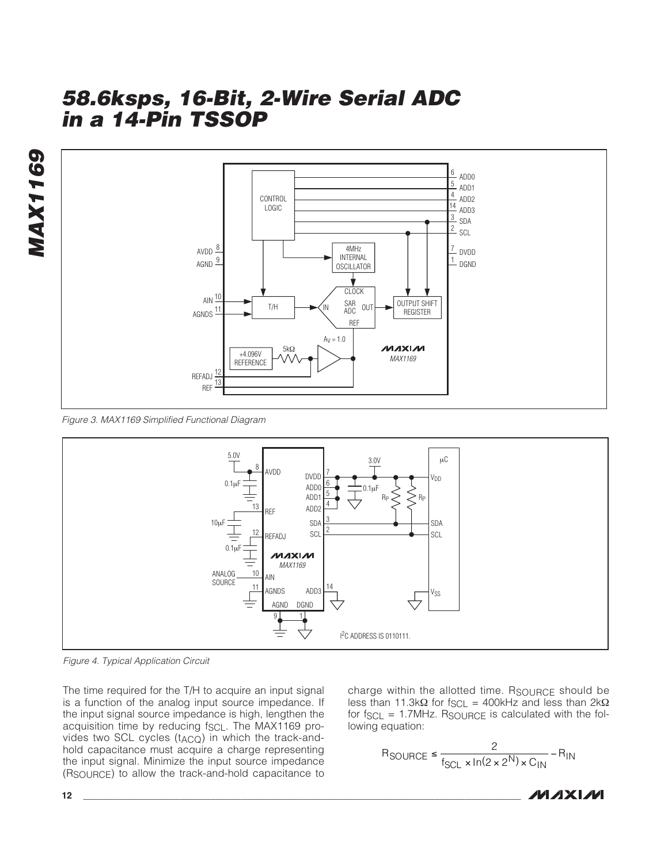



Figure 3. MAX1169 Simplified Functional Diagram



Figure 4. Typical Application Circuit

The time required for the T/H to acquire an input signal is a function of the analog input source impedance. If the input signal source impedance is high, lengthen the acquisition time by reducing fscL. The MAX1169 provides two SCL cycles (tACQ) in which the track-andhold capacitance must acquire a charge representing the input signal. Minimize the input source impedance (RSOURCE) to allow the track-and-hold capacitance to

charge within the allotted time. RSOURCE should be less than 11.3kΩ for fscL = 400kHz and less than  $2kΩ$ for  $f_{SCL} = 1.7$ MHz. R<sub>SOURCE</sub> is calculated with the following equation:

$$
R_{\text{SOURCE}} \le \frac{2}{f_{\text{SCL}} \times \ln(2 \times 2^{\text{N}}) \times C_{\text{IN}}} - R_{\text{IN}}
$$

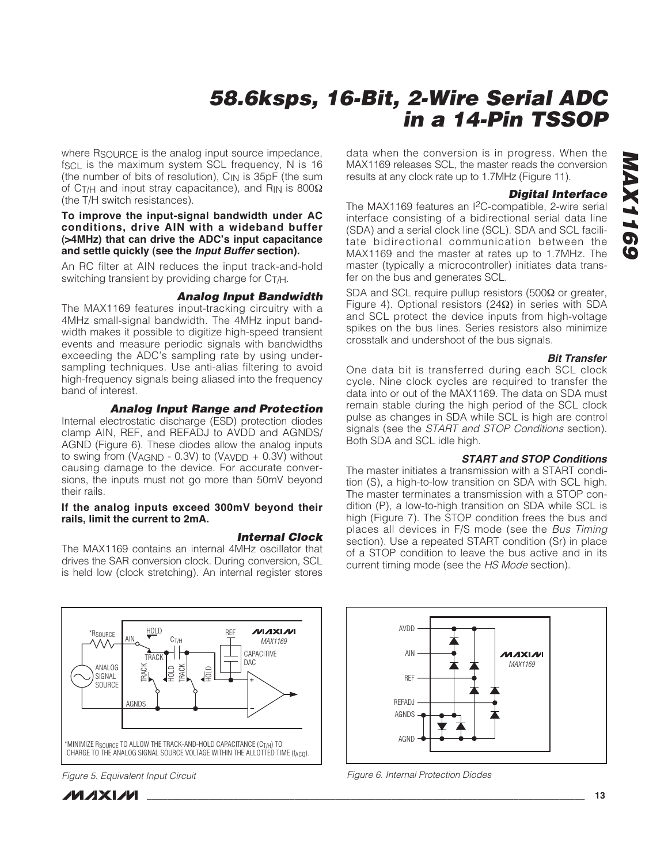# **MAX1169 MAX1169**

# **58.6ksps, 16-Bit, 2-Wire Serial ADC in a 14-Pin TSSOP**

where R<sub>SOURCE</sub> is the analog input source impedance,  $f_{SCL}$  is the maximum system SCL frequency, N is 16 (the number of bits of resolution),  $C_{IN}$  is 35pF (the sum of C<sub>T/H</sub> and input stray capacitance), and R<sub>IN</sub> is 800 $\Omega$ (the T/H switch resistances).

#### **To improve the input-signal bandwidth under AC conditions, drive AIN with a wideband buffer (>4MHz) that can drive the ADC's input capacitance and settle quickly (see the Input Buffer section).**

An RC filter at AIN reduces the input track-and-hold switching transient by providing charge for C<sub>T/H</sub>.

### **Analog Input Bandwidth**

The MAX1169 features input-tracking circuitry with a 4MHz small-signal bandwidth. The 4MHz input bandwidth makes it possible to digitize high-speed transient events and measure periodic signals with bandwidths exceeding the ADC's sampling rate by using undersampling techniques. Use anti-alias filtering to avoid high-frequency signals being aliased into the frequency band of interest.

### **Analog Input Range and Protection**

Internal electrostatic discharge (ESD) protection diodes clamp AIN, REF, and REFADJ to AVDD and AGNDS/ AGND (Figure 6). These diodes allow the analog inputs to swing from (VAGND - 0.3V) to (VAVDD + 0.3V) without causing damage to the device. For accurate conversions, the inputs must not go more than 50mV beyond their rails.

#### **If the analog inputs exceed 300mV beyond their rails, limit the current to 2mA.**

#### **Internal Clock**

The MAX1169 contains an internal 4MHz oscillator that drives the SAR conversion clock. During conversion, SCL is held low (clock stretching). An internal register stores

HOLD **MAXIM** \*RSOURCE REF  $C_{T/H}$ MAX1169 CAPACITIVE **TRACK** DAC ANALOG TRACK TRACK HOLD HOLD SIGNAL **SOURCE** AGNDS \*MINIMIZE RSOURCE TO ALLOW THE TRACK-AND-HOLD CAPACITANCE (C<sub>T/H</sub>) TO CHARGE TO THE ANALOG SIGNAL SOURCE VOLTAGE WITHIN THE ALLOTTED TIME (tACQ).

Figure 5. Equivalent Input Circuit

**MAXIM** 



### **Digital Interface**

The MAX1169 features an I2C-compatible, 2-wire serial interface consisting of a bidirectional serial data line (SDA) and a serial clock line (SCL). SDA and SCL facilitate bidirectional communication between the MAX1169 and the master at rates up to 1.7MHz. The master (typically a microcontroller) initiates data transfer on the bus and generates SCL.

SDA and SCL require pullup resistors (500Ω or greater, Figure 4). Optional resistors (24Ω) in series with SDA and SCL protect the device inputs from high-voltage spikes on the bus lines. Series resistors also minimize crosstalk and undershoot of the bus signals.

#### **Bit Transfer**

One data bit is transferred during each SCL clock cycle. Nine clock cycles are required to transfer the data into or out of the MAX1169. The data on SDA must remain stable during the high period of the SCL clock pulse as changes in SDA while SCL is high are control signals (see the START and STOP Conditions section). Both SDA and SCL idle high.

### **START and STOP Conditions**

The master initiates a transmission with a START condition (S), a high-to-low transition on SDA with SCL high. The master terminates a transmission with a STOP condition (P), a low-to-high transition on SDA while SCL is high (Figure 7). The STOP condition frees the bus and places all devices in F/S mode (see the Bus Timing section). Use a repeated START condition (Sr) in place of a STOP condition to leave the bus active and in its current timing mode (see the HS Mode section).



Figure 6. Internal Protection Diodes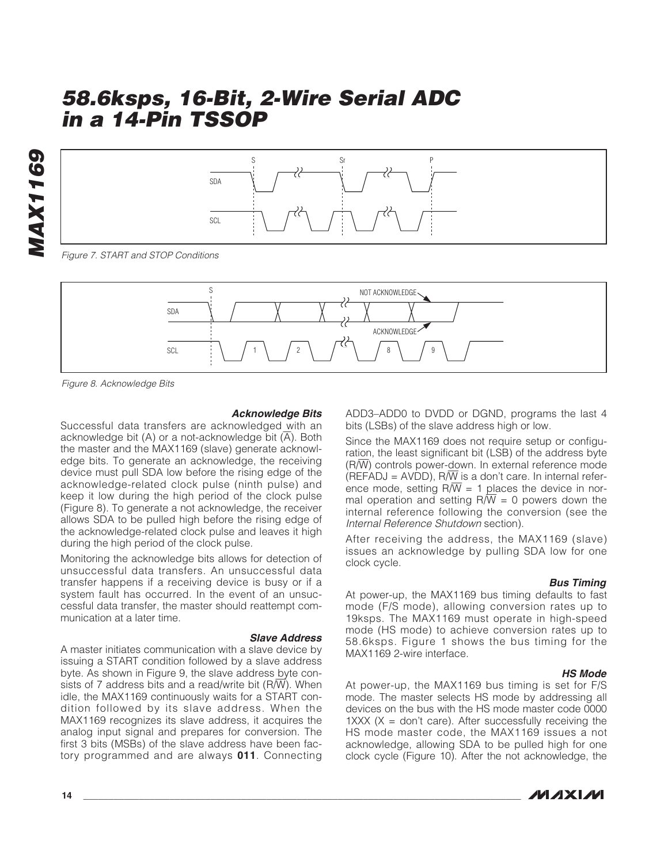

Figure 7. START and STOP Conditions



Figure 8. Acknowledge Bits

### **Acknowledge Bits**

Successful data transfers are acknowledged with an acknowledge bit (A) or a not-acknowledge bit  $(\overline{A})$ . Both the master and the MAX1169 (slave) generate acknowledge bits. To generate an acknowledge, the receiving device must pull SDA low before the rising edge of the acknowledge-related clock pulse (ninth pulse) and keep it low during the high period of the clock pulse (Figure 8). To generate a not acknowledge, the receiver allows SDA to be pulled high before the rising edge of the acknowledge-related clock pulse and leaves it high during the high period of the clock pulse.

Monitoring the acknowledge bits allows for detection of unsuccessful data transfers. An unsuccessful data transfer happens if a receiving device is busy or if a system fault has occurred. In the event of an unsuccessful data transfer, the master should reattempt communication at a later time.

#### **Slave Address**

A master initiates communication with a slave device by issuing a START condition followed by a slave address byte. As shown in Figure 9, the slave address byte consists of 7 address bits and a read/write bit ( $R/\overline{W}$ ). When idle, the MAX1169 continuously waits for a START condition followed by its slave address. When the MAX1169 recognizes its slave address, it acquires the analog input signal and prepares for conversion. The first 3 bits (MSBs) of the slave address have been factory programmed and are always **011**. Connecting ADD3–ADD0 to DVDD or DGND, programs the last 4 bits (LSBs) of the slave address high or low.

Since the MAX1169 does not require setup or configuration, the least significant bit (LSB) of the address byte (R/W) controls power-down. In external reference mode (REFADJ = AVDD),  $R/\overline{W}$  is a don't care. In internal reference mode, setting  $R/\overline{W} = 1$  places the device in normal operation and setting  $R/\overline{W} = 0$  powers down the internal reference following the conversion (see the Internal Reference Shutdown section).

After receiving the address, the MAX1169 (slave) issues an acknowledge by pulling SDA low for one clock cycle.

### **Bus Timing**

At power-up, the MAX1169 bus timing defaults to fast mode (F/S mode), allowing conversion rates up to 19ksps. The MAX1169 must operate in high-speed mode (HS mode) to achieve conversion rates up to 58.6ksps. Figure 1 shows the bus timing for the MAX1169 2-wire interface.

### **HS Mode**

At power-up, the MAX1169 bus timing is set for F/S mode. The master selects HS mode by addressing all devices on the bus with the HS mode master code 0000  $1XXX$  ( $X =$  don't care). After successfully receiving the HS mode master code, the MAX1169 issues a not acknowledge, allowing SDA to be pulled high for one clock cycle (Figure 10). After the not acknowledge, the

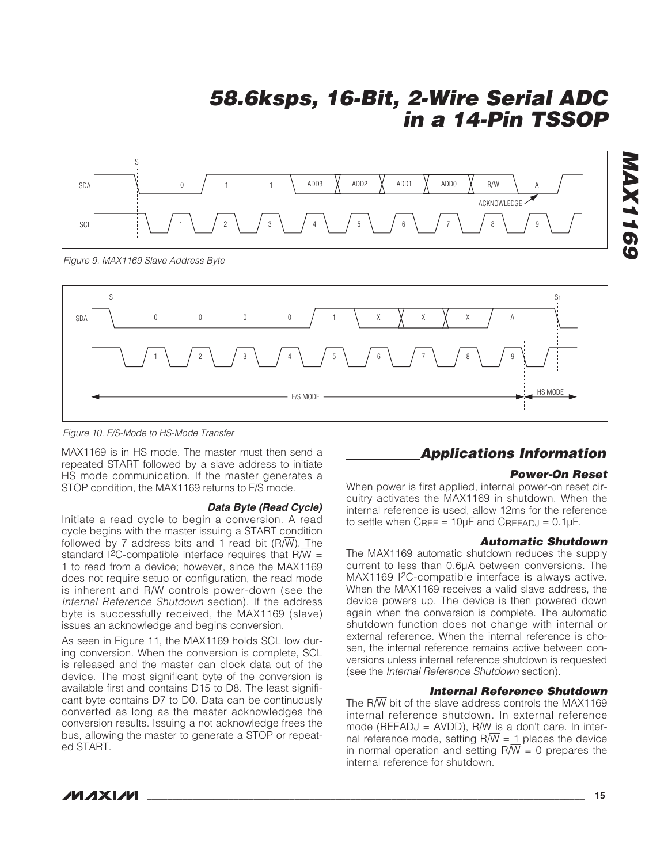

Figure 9. MAX1169 Slave Address Byte



Figure 10. F/S-Mode to HS-Mode Transfer

MAX1169 is in HS mode. The master must then send a repeated START followed by a slave address to initiate HS mode communication. If the master generates a STOP condition, the MAX1169 returns to F/S mode.

#### **Data Byte (Read Cycle)**

Initiate a read cycle to begin a conversion. A read cycle begins with the master issuing a START condition followed by 7 address bits and 1 read bit  $(R/\overline{W})$ . The standard  $I^2C$ -compatible interface requires that R/W = 1 to read from a device; however, since the MAX1169 does not require setup or configuration, the read mode is inherent and  $R/\overline{W}$  controls power-down (see the Internal Reference Shutdown section). If the address byte is successfully received, the MAX1169 (slave) issues an acknowledge and begins conversion.

As seen in Figure 11, the MAX1169 holds SCL low during conversion. When the conversion is complete, SCL is released and the master can clock data out of the device. The most significant byte of the conversion is available first and contains D15 to D8. The least significant byte contains D7 to D0. Data can be continuously converted as long as the master acknowledges the conversion results. Issuing a not acknowledge frees the bus, allowing the master to generate a STOP or repeated START.

### **Applications Information**

#### **Power-On Reset**

**MAX1169**

**MAX1169** 

When power is first applied, internal power-on reset circuitry activates the MAX1169 in shutdown. When the internal reference is used, allow 12ms for the reference to settle when  $C_{REF} = 10 \mu F$  and  $C_{REFADJ} = 0.1 \mu F$ .

#### **Automatic Shutdown**

The MAX1169 automatic shutdown reduces the supply current to less than 0.6μA between conversions. The MAX1169 <sup>2</sup>C-compatible interface is always active. When the MAX1169 receives a valid slave address, the device powers up. The device is then powered down again when the conversion is complete. The automatic shutdown function does not change with internal or external reference. When the internal reference is chosen, the internal reference remains active between conversions unless internal reference shutdown is requested (see the Internal Reference Shutdown section).

#### **Internal Reference Shutdown**

The  $R/\overline{W}$  bit of the slave address controls the MAX1169 internal reference shutdown. In external reference mode (REFADJ = AVDD),  $R/\overline{W}$  is a don't care. In internal reference mode, setting  $R/\overline{W} = 1$  places the device in normal operation and setting  $R/\overline{W} = 0$  prepares the internal reference for shutdown.

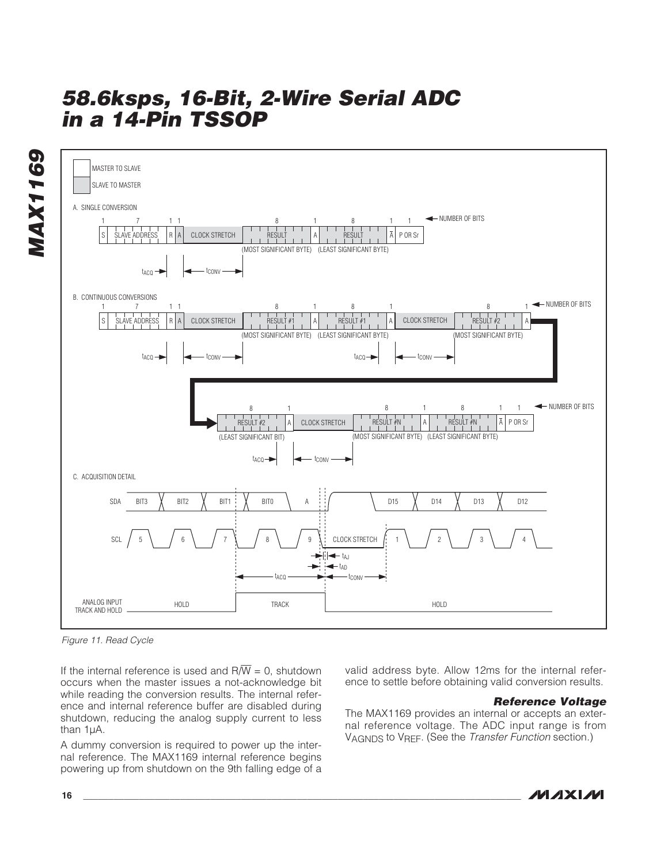

Figure 11. Read Cycle

If the internal reference is used and  $R/\overline{W} = 0$ , shutdown occurs when the master issues a not-acknowledge bit while reading the conversion results. The internal reference and internal reference buffer are disabled during shutdown, reducing the analog supply current to less than 1μA.

A dummy conversion is required to power up the internal reference. The MAX1169 internal reference begins powering up from shutdown on the 9th falling edge of a valid address byte. Allow 12ms for the internal reference to settle before obtaining valid conversion results.

#### **Reference Voltage**

The MAX1169 provides an internal or accepts an external reference voltage. The ADC input range is from VAGNDS to VREF. (See the Transfer Function section.)

$$
\boldsymbol{\mathcal{N}}\boldsymbol{\mathcal{N}}\boldsymbol{\mathcal{N}}
$$

**MAX1169**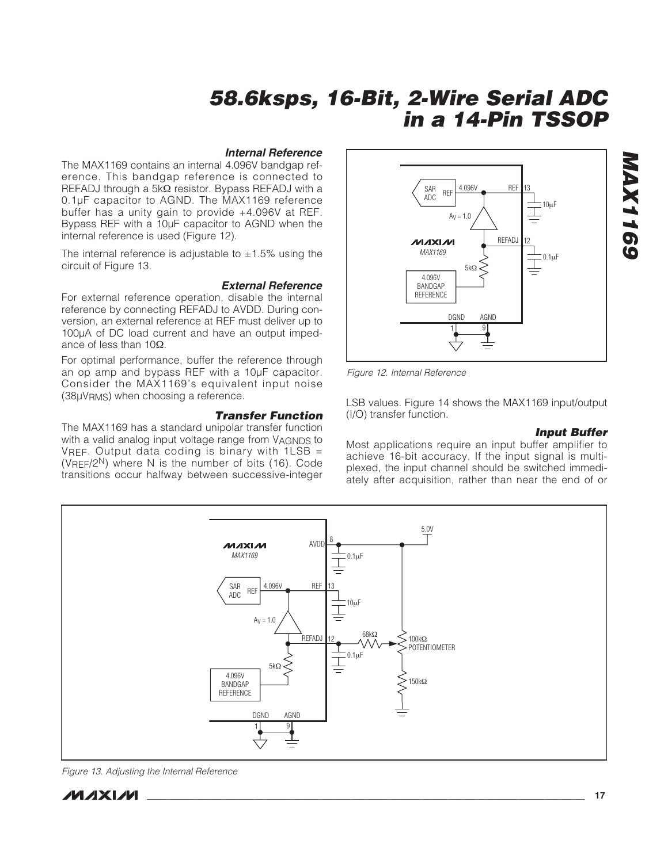#### **Internal Reference**

The MAX1169 contains an internal 4.096V bandgap reference. This bandgap reference is connected to REFADJ through a 5kΩ resistor. Bypass REFADJ with a 0.1μF capacitor to AGND. The MAX1169 reference buffer has a unity gain to provide +4.096V at REF. Bypass REF with a 10μF capacitor to AGND when the internal reference is used (Figure 12).

The internal reference is adjustable to  $\pm 1.5$ % using the circuit of Figure 13.

### **External Reference**

For external reference operation, disable the internal reference by connecting REFADJ to AVDD. During conversion, an external reference at REF must deliver up to 100μA of DC load current and have an output impedance of less than 10Ω.

For optimal performance, buffer the reference through an op amp and bypass REF with a 10μF capacitor. Consider the MAX1169's equivalent input noise (38μVRMS) when choosing a reference.

### **Transfer Function**

The MAX1169 has a standard unipolar transfer function with a valid analog input voltage range from VAGNDS to  $V$ REF. Output data coding is binary with  $1LSB =$ ( $V<sub>REF</sub>/2<sup>N</sup>$ ) where N is the number of bits (16). Code transitions occur halfway between successive-integer



Figure 12. Internal Reference

LSB values. Figure 14 shows the MAX1169 input/output (I/O) transfer function.

#### **Input Buffer**

**MAX1169**

**MAX1169** 

Most applications require an input buffer amplifier to achieve 16-bit accuracy. If the input signal is multiplexed, the input channel should be switched immediately after acquisition, rather than near the end of or



Figure 13. Adjusting the Internal Reference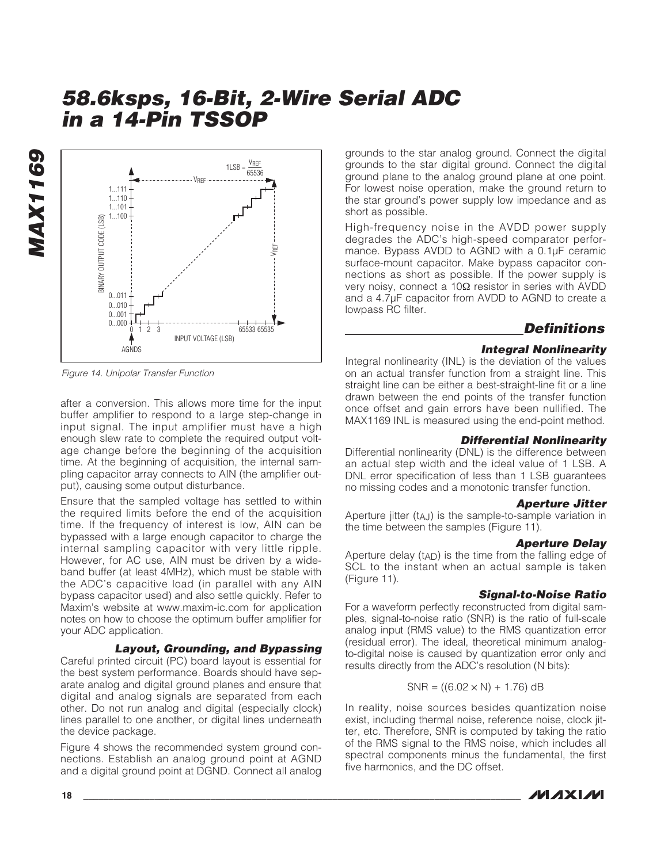![](_page_17_Figure_2.jpeg)

Figure 14. Unipolar Transfer Function

after a conversion. This allows more time for the input buffer amplifier to respond to a large step-change in input signal. The input amplifier must have a high enough slew rate to complete the required output voltage change before the beginning of the acquisition time. At the beginning of acquisition, the internal sampling capacitor array connects to AIN (the amplifier output), causing some output disturbance.

Ensure that the sampled voltage has settled to within the required limits before the end of the acquisition time. If the frequency of interest is low, AIN can be bypassed with a large enough capacitor to charge the internal sampling capacitor with very little ripple. However, for AC use, AIN must be driven by a wideband buffer (at least 4MHz), which must be stable with the ADC's capacitive load (in parallel with any AIN bypass capacitor used) and also settle quickly. Refer to Maxim's website at www.maxim-ic.com for application notes on how to choose the optimum buffer amplifier for your ADC application.

### **Layout, Grounding, and Bypassing**

Careful printed circuit (PC) board layout is essential for the best system performance. Boards should have separate analog and digital ground planes and ensure that digital and analog signals are separated from each other. Do not run analog and digital (especially clock) lines parallel to one another, or digital lines underneath the device package.

Figure 4 shows the recommended system ground connections. Establish an analog ground point at AGND and a digital ground point at DGND. Connect all analog grounds to the star analog ground. Connect the digital grounds to the star digital ground. Connect the digital ground plane to the analog ground plane at one point. For lowest noise operation, make the ground return to the star ground's power supply low impedance and as short as possible.

High-frequency noise in the AVDD power supply degrades the ADC's high-speed comparator performance. Bypass AVDD to AGND with a 0.1μF ceramic surface-mount capacitor. Make bypass capacitor connections as short as possible. If the power supply is very noisy, connect a 10Ω resistor in series with AVDD and a 4.7μF capacitor from AVDD to AGND to create a lowpass RC filter.

### **Definitions**

### **Integral Nonlinearity**

Integral nonlinearity (INL) is the deviation of the values on an actual transfer function from a straight line. This straight line can be either a best-straight-line fit or a line drawn between the end points of the transfer function once offset and gain errors have been nullified. The MAX1169 INL is measured using the end-point method.

### **Differential Nonlinearity**

Differential nonlinearity (DNL) is the difference between an actual step width and the ideal value of 1 LSB. A DNL error specification of less than 1 LSB guarantees no missing codes and a monotonic transfer function.

### **Aperture Jitter**

Aperture jitter  $(t_{A,J})$  is the sample-to-sample variation in the time between the samples (Figure 11).

### **Aperture Delay**

Aperture delay (t<sub>AD</sub>) is the time from the falling edge of SCL to the instant when an actual sample is taken (Figure 11).

### **Signal-to-Noise Ratio**

For a waveform perfectly reconstructed from digital samples, signal-to-noise ratio (SNR) is the ratio of full-scale analog input (RMS value) to the RMS quantization error (residual error). The ideal, theoretical minimum analogto-digital noise is caused by quantization error only and results directly from the ADC's resolution (N bits):

$$
SNR = ((6.02 \times N) + 1.76) \, dB
$$

In reality, noise sources besides quantization noise exist, including thermal noise, reference noise, clock jitter, etc. Therefore, SNR is computed by taking the ratio of the RMS signal to the RMS noise, which includes all spectral components minus the fundamental, the first five harmonics, and the DC offset.

![](_page_17_Picture_24.jpeg)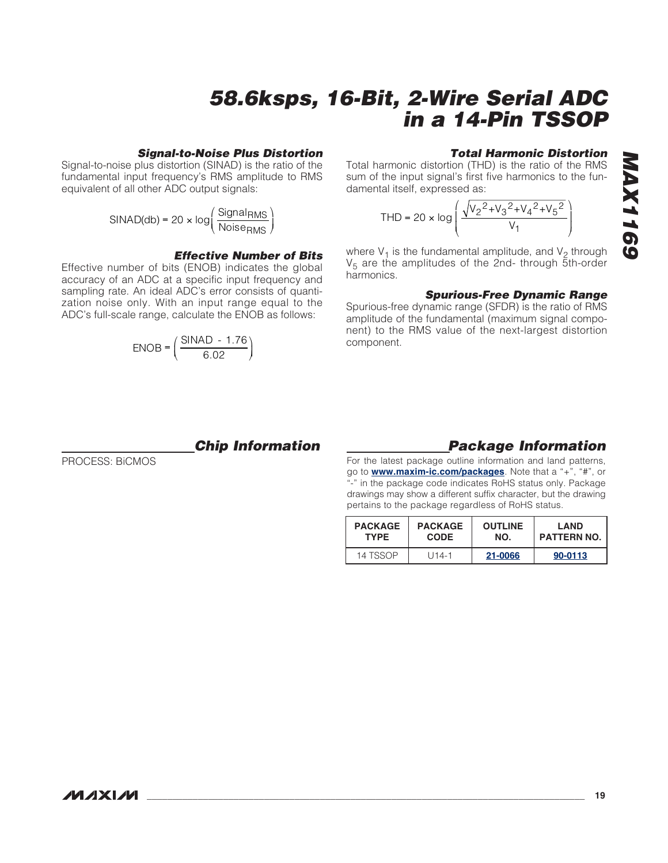### **Signal-to-Noise Plus Distortion**

Signal-to-noise plus distortion (SINAD) is the ratio of the fundamental input frequency's RMS amplitude to RMS equivalent of all other ADC output signals:

$$
SINAD(db) = 20 \times \log \left( \frac{Signal_{RMS}}{Noise_{RMS}} \right)
$$

### **Effective Number of Bits**

Effective number of bits (ENOB) indicates the global accuracy of an ADC at a specific input frequency and sampling rate. An ideal ADC's error consists of quantization noise only. With an input range equal to the ADC's full-scale range, calculate the ENOB as follows:

$$
ENOB = \left(\frac{\text{SINAD} - 1.76}{6.02}\right)
$$

### **Total Harmonic Distortion**

Total harmonic distortion (THD) is the ratio of the RMS sum of the input signal's first five harmonics to the fundamental itself, expressed as:

$$
\text{THD} = 20 \times \log \left( \frac{\sqrt{V_2^2 + V_3^2 + V_4^2 + V_5^2}}{V_1} \right)
$$

where  $V_1$  is the fundamental amplitude, and  $V_2$  through  $V_5$  are the amplitudes of the 2nd- through 5th-order harmonics.

### **Spurious-Free Dynamic Range**

Spurious-free dynamic range (SFDR) is the ratio of RMS amplitude of the fundamental (maximum signal component) to the RMS value of the next-largest distortion component.

### **Chip Information**

PROCESS: BiCMOS

### **Package Information**

For the latest package outline information and land patterns, go to **www.maxim-ic.com/packages**. Note that a "+", "#", or "-" in the package code indicates RoHS status only. Package drawings may show a different suffix character, but the drawing pertains to the package regardless of RoHS status.

| <b>PACKAGE</b> | <b>PACKAGE</b> | <b>OUTLINE</b> | <b>LAND</b>        |
|----------------|----------------|----------------|--------------------|
| <b>TYPE</b>    | <b>CODE</b>    | NO.            | <b>PATTERN NO.</b> |
| 14 TSSOP       | $1114 - 1$     | 21-0066        | 90-0113            |